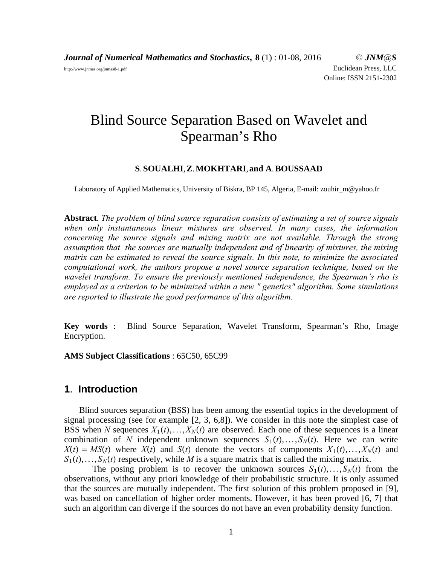*Journal of Numerical Mathematics and Stochastics***, 8** (1) : 01-08, 2016 © *JNM@S* http://www.jnmas.org/jnmas8-1.pdf Euclidean Press, LLC Online: ISSN 2151-2302

# Blind Source Separation Based on Wavelet and Spearman's Rho

#### **S**.**SOUALHI**,**Z**.**MOKHTARI**,**and A**.**BOUSSAAD**

Laboratory of Applied Mathematics, University of Biskra, BP 145, Algeria, E-mail: zouhir\_m@yahoo.fr

**Abstract**. *The problem of blind source separation consists of estimating a set of source signals when only instantaneous linear mixtures are observed. In many cases, the information concerning the source signals and mixing matrix are not available. Through the strong assumption that the sources are mutually independent and of linearity of mixtures, the mixing matrix can be estimated to reveal the source signals. In this note, to minimize the associated computational work, the authors propose a novel source separation technique, based on the wavelet transform. To ensure the previously mentioned independence, the Spearman's rho is employed as a criterion to be minimized within a new " genetics" algorithm. Some simulations are reported to illustrate the good performance of this algorithm.*

**Key words** : Blind Source Separation, Wavelet Transform, Spearman's Rho, Image Encryption.

**AMS Subject Classifications** : 65C50, 65C99

# **1**. **Introduction**

Blind sources separation (BSS) has been among the essential topics in the development of signal processing (see for example [2, 3, 6,8]). We consider in this note the simplest case of BSS when *N* sequences  $X_1(t),...,X_N(t)$  are observed. Each one of these sequences is a linear combination of *N* independent unknown sequences  $S_1(t), \ldots, S_N(t)$ . Here we can write  $X(t) = MS(t)$  where  $X(t)$  and  $S(t)$  denote the vectors of components  $X_1(t),...,X_N(t)$  and  $S_1(t), \ldots, S_N(t)$  respectively, while *M* is a square matrix that is called the mixing matrix.

The posing problem is to recover the unknown sources  $S_1(t),...,S_N(t)$  from the observations, without any priori knowledge of their probabilistic structure. It is only assumed that the sources are mutually independent. The first solution of this problem proposed in [9], was based on cancellation of higher order moments. However, it has been proved [6, 7] that such an algorithm can diverge if the sources do not have an even probability density function.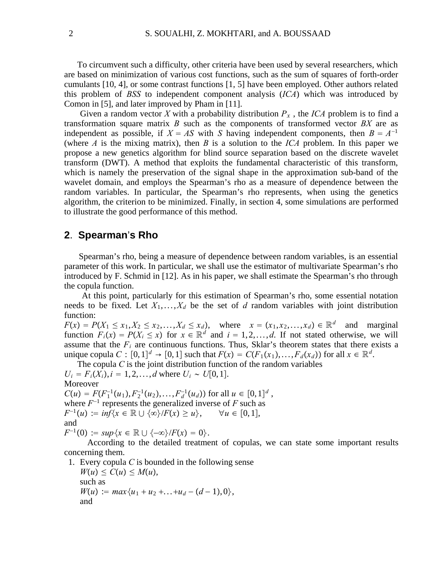To circumvent such a difficulty, other criteria have been used by several researchers, which are based on minimization of various cost functions, such as the sum of squares of forth-order cumulants [10, 4], or some contrast functions [1, 5] have been employed. Other authors related this problem of *BSS* to independent component analysis (*ICA*) which was introduced by Comon in [5], and later improved by Pham in [11].

Given a random vector X with a probability distribution  $P_x$ , the ICA problem is to find a transformation square matrix *B* such as the components of transformed vector *BX* are as independent as possible, if  $X = AS$  with *S* having independent components, then  $B = A^{-1}$ (where *A* is the mixing matrix), then *B* is a solution to the *ICA* problem. In this paper we propose a new genetics algorithm for blind source separation based on the discrete wavelet transform (DWT). A method that exploits the fundamental characteristic of this transform, which is namely the preservation of the signal shape in the approximation sub-band of the wavelet domain, and employs the Spearman's rho as a measure of dependence between the random variables. In particular, the Spearman's rho represents, when using the genetics algorithm, the criterion to be minimized. Finally, in section 4, some simulations are performed to illustrate the good performance of this method.

### **2**. **Spearman**'**s Rho**

Spearman's rho, being a measure of dependence between random variables, is an essential parameter of this work. In particular, we shall use the estimator of multivariate Spearman's rho introduced by F. Schmid in [12]. As in his paper, we shall estimate the Spearman's rho through the copula function.

At this point, particularly for this estimation of Spearman's rho, some essential notation needs to be fixed. Let  $X_1, \ldots, X_d$  be the set of *d* random variables with joint distribution function:

 $F(x) = P(X_1 \le x_1, X_2 \le x_2, ..., X_d \le x_d)$ , where  $x = (x_1, x_2, ..., x_d) \in \mathbb{R}^d$  and marginal function  $F_i(x) = P(X_i \le x)$  for  $x \in \mathbb{R}^d$  and  $i = 1, 2, ..., d$ . If not stated otherwise, we will assume that the  $F_i$  are continuous functions. Thus, Sklar's theorem states that there exists a unique copula  $C : [0, 1]^d \rightarrow [0, 1]$  such that  $F(x) = C(F_1(x_1),...,F_d(x_d))$  for all  $x \in \mathbb{R}^d$ .

The copula *C* is the joint distribution function of the random variables  $U_i = F_i(X_i), i = 1, 2, ..., d$  where  $U_i \sim U[0, 1].$ Moreover  $C(u) = F(F_1^{-1}(u_1), F_2^{-1}(u_2),..., F_d^{-1}(u_d))$  for all  $u \in [0,1]^d$ , where  $F^{-1}$  represents the generalized inverse of  $F$  such as  $F^{-1}(u) := \inf\{x \in \mathbb{R} \cup \{\infty\} / F(x) \ge u\}, \quad \forall u \in [0,1],$ and

 $F^{-1}(0) := \sup\{x \in \mathbb{R} \cup \{-\infty\}/F(x) = 0\}.$ 

According to the detailed treatment of copulas, we can state some important results concerning them.

1. Every copula *C* is bounded in the following sense  $W(u) \leq C(u) \leq M(u),$ such as  $W(u) := max{u_1 + u_2 + ... + u_d - (d-1), 0},$ and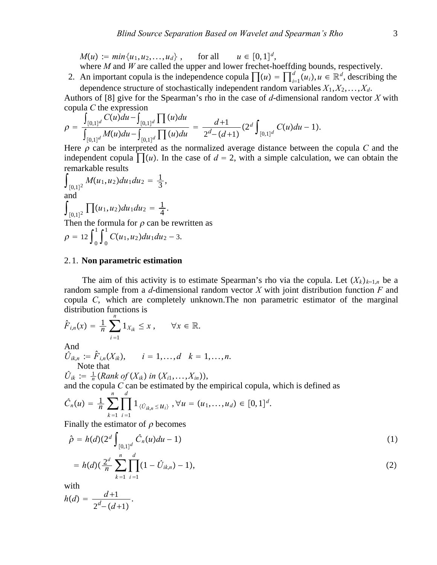$M(u) := min\{u_1, u_2, \ldots, u_d\}, \quad \text{for all} \quad u \in [0, 1]^d,$ where *M* and *W* are called the upper and lower frechet-hoeffding bounds, respectively.

2. An important copula is the independence copula  $\prod(u) = \prod_{i=1}^{d} (u_i)$ ,  $u \in \mathbb{R}^d$ , describing the dependence structure of stochastically independent random variables *X*1,*X*2,...,*Xd*.

Authors of [8] give for the Spearman's rho in the case of *d*-dimensional random vector *X* with copula *C* the expression

$$
\rho = \frac{\int_{[0,1]^d} C(u) du - \int_{[0,1]^d} \prod(u) du}{\int_{[0,1]^d} M(u) du - \int_{[0,1]^d} \prod(u) du} = \frac{d+1}{2^d - (d+1)} (2^d \int_{[0,1]^d} C(u) du - 1).
$$

Here  $\rho$  can be interpreted as the normalized average distance between the copula C and the independent copula  $\prod(u)$ . In the case of  $d = 2$ , with a simple calculation, we can obtain the remarkable results

$$
\int_{[0,1]^2} M(u_1, u_2) du_1 du_2 = \frac{1}{3},
$$
  
and  

$$
\int_{[0,1]^2} \prod(u_1, u_2) du_1 du_2 = \frac{1}{4}.
$$

Then the formula for  $\rho$  can be rewritten as

$$
\rho = 12 \int_0^1 \int_0^1 C(u_1, u_2) du_1 du_2 - 3.
$$

#### 2. 1. **Non parametric estimation**

The aim of this activity is to estimate Spearman's rho via the copula. Let  $(X_k)_{k=1,n}$  be a random sample from a *d*-dimensional random vector *X* with joint distribution function *F* and copula *C*, which are completely unknown.The non parametric estimator of the marginal distribution functions is *n*

$$
\hat{F}_{i,n}(x) = \frac{1}{n} \sum_{i=1} 1_{X_{ik}} \leq x, \quad \forall x \in \mathbb{R}.
$$

And

$$
\hat{U}_{ik,n} := \hat{F}_{i,n}(X_{ik}), \qquad i = 1,\ldots,d \quad k = 1,\ldots,n.
$$
  
Note that

 $\hat{U}_{ik} := \frac{1}{n} (Rank\ of\ (X_{ik})\ in\ (X_{i1},...,X_{in})),$ 

and the copula *C* can be estimated by the empirical copula, which is defined as

$$
\hat{C}_n(u) = \frac{1}{n} \sum_{k=1}^n \prod_{i=1}^d 1_{\{\hat{U}_{ik,n} \le u_i\}}, \forall u = (u_1, \ldots, u_d) \in [0,1]^d.
$$

Finally the estimator of  $\rho$  becomes

.

$$
\hat{\rho} = h(d)(2^d \int_{[0,1]^d} \hat{C}_n(u) du - 1)
$$
\n
$$
= h(d)(2^d \sum_{n=1}^n \prod_{i=1}^d (1 - \hat{U}_{i-1}) - 1)
$$
\n(1)

$$
= h(d) \left( \frac{2^d}{n} \sum_{k=1}^d \prod_{i=1}^d (1 - \hat{U}_{ik,n}) - 1 \right), \tag{2}
$$

with

$$
h(d) = \frac{d+1}{2^d - (d+1)}
$$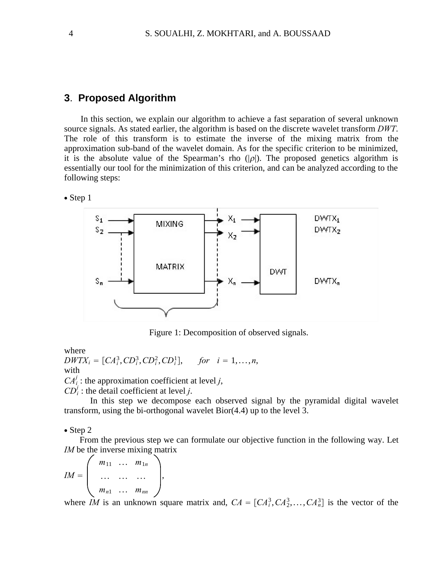## **3**. **Proposed Algorithm**

In this section, we explain our algorithm to achieve a fast separation of several unknown source signals. As stated earlier, the algorithm is based on the discrete wavelet transform *DWT*. The role of this transform is to estimate the inverse of the mixing matrix from the approximation sub-band of the wavelet domain. As for the specific criterion to be minimized, it is the absolute value of the Spearman's rho  $(|\rho|)$ . The proposed genetics algorithm is essentially our tool for the minimization of this criterion, and can be analyzed according to the following steps:





Figure 1: Decomposition of observed signals.

where

 $DWTX_i = [CA_i^3, CD_i^3, CD_i^2, CD_i^1],$  *for*  $i = 1,...,n$ , with

,

 $CA_i^j$ : the approximation coefficient at level *j*,

 $CD<sup>j</sup>$  : the detail coefficient at level *j*.

In this step we decompose each observed signal by the pyramidal digital wavelet transform, using the bi-orthogonal wavelet Bior(4.4) up to the level 3.

∙ Step 2

From the previous step we can formulate our objective function in the following way. Let *IM* be the inverse mixing matrix

$$
IM = \left(\begin{array}{ccc} m_{11} & \dots & m_{1n} \\ \dots & \dots & \dots \\ m_{n1} & \dots & m_{nn} \end{array}\right)
$$

where *IM* is an unknown square matrix and,  $CA = [CA_i^3, CA_2^3, \dots, CA_n^3]$  is the vector of the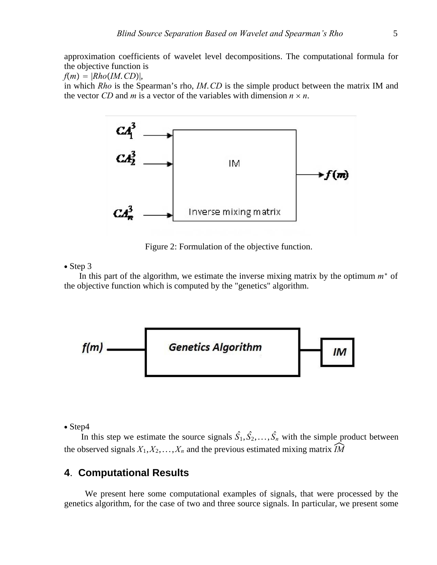approximation coefficients of wavelet level decompositions. The computational formula for the objective function is

 $f(m) = |Rho(IM. CD)|$ ,

in which *Rho* is the Spearman's rho, *IM*.*CD* is the simple product between the matrix IM and the vector *CD* and *m* is a vector of the variables with dimension  $n \times n$ .



Figure 2: Formulation of the objective function.

#### ∙ Step 3

In this part of the algorithm, we estimate the inverse mixing matrix by the optimum *m*<sup>∗</sup> of the objective function which is computed by the "genetics" algorithm.



∙ Step4

In this step we estimate the source signals  $\hat{S}_1, \hat{S}_2, \dots, \hat{S}_n$  with the simple product between the observed signals  $X_1, X_2, \ldots, X_n$  and the previous estimated mixing matrix  $\widehat{IM}$ 

# **4**. **Computational Results**

We present here some computational examples of signals, that were processed by the genetics algorithm, for the case of two and three source signals. In particular, we present some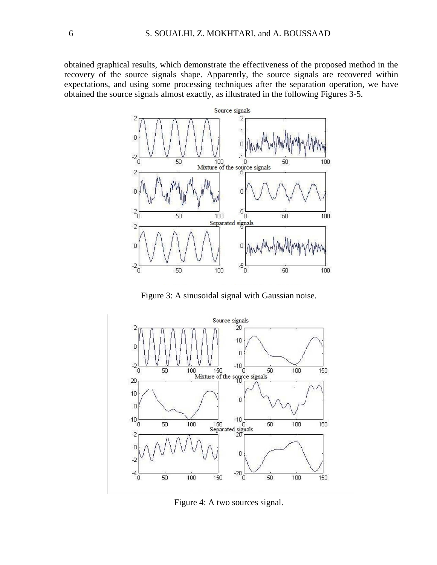obtained graphical results, which demonstrate the effectiveness of the proposed method in the recovery of the source signals shape. Apparently, the source signals are recovered within expectations, and using some processing techniques after the separation operation, we have obtained the source signals almost exactly, as illustrated in the following Figures 3-5.



Figure 3: A sinusoidal signal with Gaussian noise.



Figure 4: A two sources signal.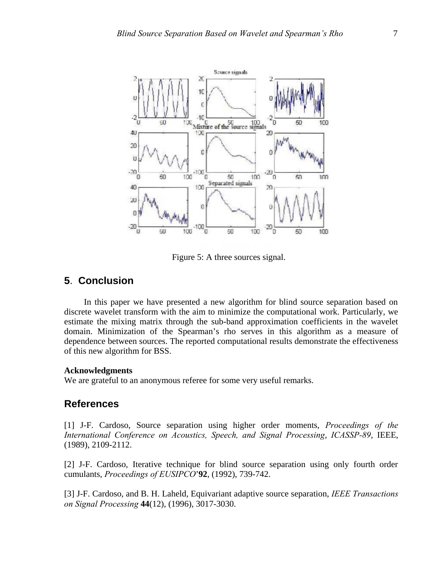

Figure 5: A three sources signal.

# **5**. **Conclusion**

In this paper we have presented a new algorithm for blind source separation based on discrete wavelet transform with the aim to minimize the computational work. Particularly, we estimate the mixing matrix through the sub-band approximation coefficients in the wavelet domain. Minimization of the Spearman's rho serves in this algorithm as a measure of dependence between sources. The reported computational results demonstrate the effectiveness of this new algorithm for BSS.

#### **Acknowledgments**

We are grateful to an anonymous referee for some very useful remarks.

# **References**

[1] J-F. Cardoso, Source separation using higher order moments, *Proceedings of the International Conference on Acoustics, Speech, and Signal Processing*, *ICASSP-89*, IEEE, (1989), 2109-2112.

[2] J-F. Cardoso, Iterative technique for blind source separation using only fourth order cumulants, *Proceedings of EUSIPCO*'**92**, (1992), 739-742.

[3] J-F. Cardoso, and B. H. Laheld, Equivariant adaptive source separation, *IEEE Transactions on Signal Processing* **44**(12), (1996), 3017-3030.